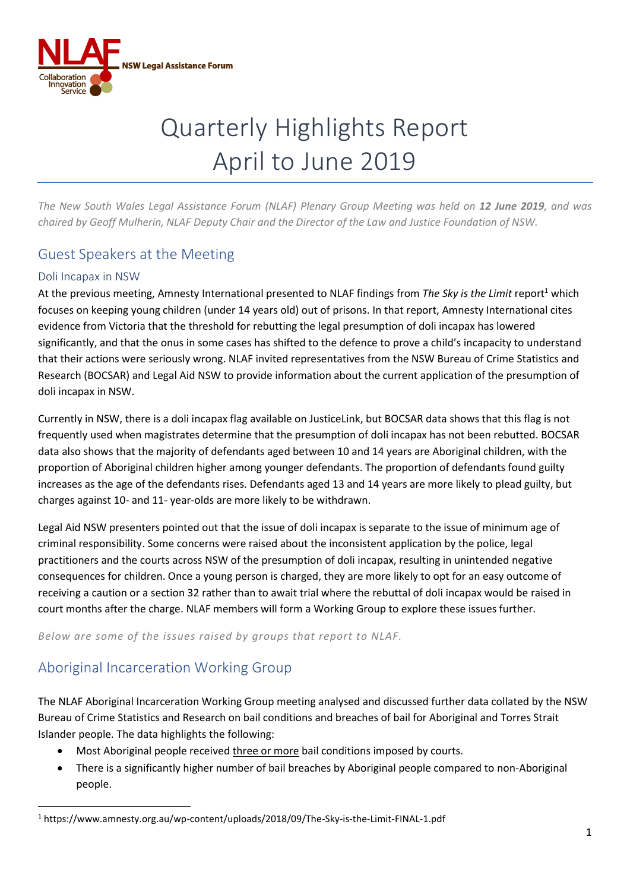

# Quarterly Highlights Report April to June 2019

*The New South Wales Legal Assistance Forum (NLAF) Plenary Group Meeting was held on 12 June 2019, and was chaired by Geoff Mulherin, NLAF Deputy Chair and the Director of the Law and Justice Foundation of NSW.*

## Guest Speakers at the Meeting

#### Doli Incapax in NSW

At the previous meeting, Amnesty International presented to NLAF findings from *The Sky is the Limit* report<sup>1</sup> which focuses on keeping young children (under 14 years old) out of prisons. In that report, Amnesty International cites evidence from Victoria that the threshold for rebutting the legal presumption of doli incapax has lowered significantly, and that the onus in some cases has shifted to the defence to prove a child's incapacity to understand that their actions were seriously wrong. NLAF invited representatives from the NSW Bureau of Crime Statistics and Research (BOCSAR) and Legal Aid NSW to provide information about the current application of the presumption of doli incapax in NSW.

Currently in NSW, there is a doli incapax flag available on JusticeLink, but BOCSAR data shows that this flag is not frequently used when magistrates determine that the presumption of doli incapax has not been rebutted. BOCSAR data also shows that the majority of defendants aged between 10 and 14 years are Aboriginal children, with the proportion of Aboriginal children higher among younger defendants. The proportion of defendants found guilty increases as the age of the defendants rises. Defendants aged 13 and 14 years are more likely to plead guilty, but charges against 10- and 11- year-olds are more likely to be withdrawn.

Legal Aid NSW presenters pointed out that the issue of doli incapax is separate to the issue of minimum age of criminal responsibility. Some concerns were raised about the inconsistent application by the police, legal practitioners and the courts across NSW of the presumption of doli incapax, resulting in unintended negative consequences for children. Once a young person is charged, they are more likely to opt for an easy outcome of receiving a caution or a section 32 rather than to await trial where the rebuttal of doli incapax would be raised in court months after the charge. NLAF members will form a Working Group to explore these issues further.

*Below are some of the issues raised by groups that report to NLAF.*

### Aboriginal Incarceration Working Group

**.** 

The NLAF Aboriginal Incarceration Working Group meeting analysed and discussed further data collated by the NSW Bureau of Crime Statistics and Research on bail conditions and breaches of bail for Aboriginal and Torres Strait Islander people. The data highlights the following:

- Most Aboriginal people received three or more bail conditions imposed by courts.
- There is a significantly higher number of bail breaches by Aboriginal people compared to non-Aboriginal people.

<sup>1</sup> https://www.amnesty.org.au/wp-content/uploads/2018/09/The-Sky-is-the-Limit-FINAL-1.pdf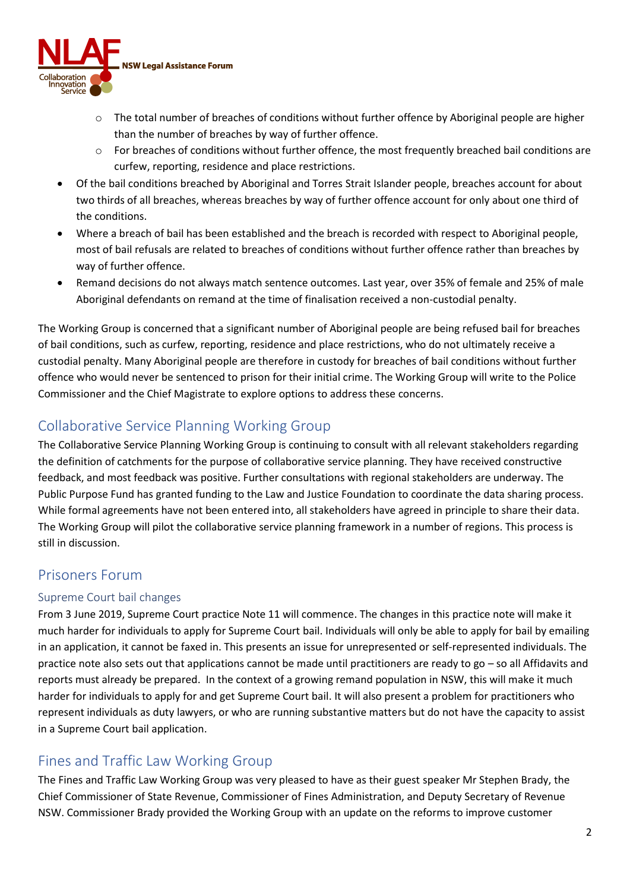

- o The total number of breaches of conditions without further offence by Aboriginal people are higher than the number of breaches by way of further offence.
- o For breaches of conditions without further offence, the most frequently breached bail conditions are curfew, reporting, residence and place restrictions.
- Of the bail conditions breached by Aboriginal and Torres Strait Islander people, breaches account for about two thirds of all breaches, whereas breaches by way of further offence account for only about one third of the conditions.
- Where a breach of bail has been established and the breach is recorded with respect to Aboriginal people, most of bail refusals are related to breaches of conditions without further offence rather than breaches by way of further offence.
- Remand decisions do not always match sentence outcomes. Last year, over 35% of female and 25% of male Aboriginal defendants on remand at the time of finalisation received a non-custodial penalty.

The Working Group is concerned that a significant number of Aboriginal people are being refused bail for breaches of bail conditions, such as curfew, reporting, residence and place restrictions, who do not ultimately receive a custodial penalty. Many Aboriginal people are therefore in custody for breaches of bail conditions without further offence who would never be sentenced to prison for their initial crime. The Working Group will write to the Police Commissioner and the Chief Magistrate to explore options to address these concerns.

### Collaborative Service Planning Working Group

The Collaborative Service Planning Working Group is continuing to consult with all relevant stakeholders regarding the definition of catchments for the purpose of collaborative service planning. They have received constructive feedback, and most feedback was positive. Further consultations with regional stakeholders are underway. The Public Purpose Fund has granted funding to the Law and Justice Foundation to coordinate the data sharing process. While formal agreements have not been entered into, all stakeholders have agreed in principle to share their data. The Working Group will pilot the collaborative service planning framework in a number of regions. This process is still in discussion.

### Prisoners Forum

#### Supreme Court bail changes

From 3 June 2019, Supreme Court practice Note 11 will commence. The changes in this practice note will make it much harder for individuals to apply for Supreme Court bail. Individuals will only be able to apply for bail by emailing in an application, it cannot be faxed in. This presents an issue for unrepresented or self-represented individuals. The practice note also sets out that applications cannot be made until practitioners are ready to go – so all Affidavits and reports must already be prepared. In the context of a growing remand population in NSW, this will make it much harder for individuals to apply for and get Supreme Court bail. It will also present a problem for practitioners who represent individuals as duty lawyers, or who are running substantive matters but do not have the capacity to assist in a Supreme Court bail application.

### Fines and Traffic Law Working Group

The Fines and Traffic Law Working Group was very pleased to have as their guest speaker Mr Stephen Brady, the Chief Commissioner of State Revenue, Commissioner of Fines Administration, and Deputy Secretary of Revenue NSW. Commissioner Brady provided the Working Group with an update on the reforms to improve customer